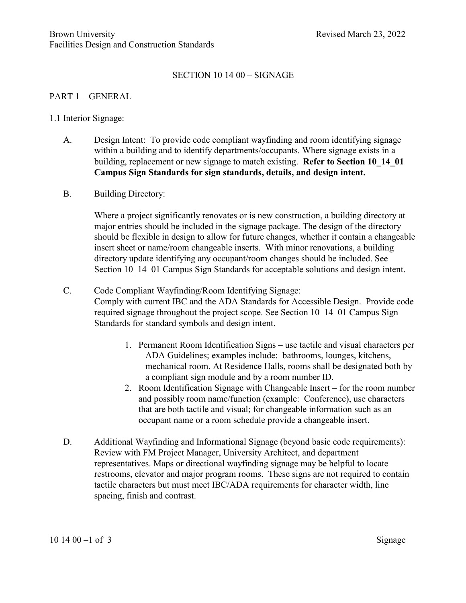### SECTION 10 14 00 – SIGNAGE

#### PART 1 – GENERAL

#### 1.1 Interior Signage:

- A. Design Intent: To provide code compliant wayfinding and room identifying signage within a building and to identify departments/occupants. Where signage exists in a building, replacement or new signage to match existing. **Refer to Section [10\\_14\\_01](https://www.brown.edu/facilities/sites/facilities/files/20220131_Campus-Sign-Standards.pdf) Campus Sign Standards for sign standards, details, and design intent.**
- B. Building Directory:

Where a project significantly renovates or is new construction, a building directory at major entries should be included in the signage package. The design of the directory should be flexible in design to allow for future changes, whether it contain a changeable insert sheet or name/room changeable inserts. With minor renovations, a building directory update identifying any occupant/room changes should be included. See Section 10, 14, 01 Campus Sign Standards for acceptable solutions and design intent.

- C. Code Compliant Wayfinding/Room Identifying Signage: Comply with current IBC and the ADA Standards for Accessible Design. Provide code required signage throughout the project scope. See Section [10\\_14\\_01](https://www.brown.edu/facilities/sites/facilities/files/20220131_Campus-Sign-Standards.pdf) Campus Sign Standards for standard symbols and design intent.
	- 1. Permanent Room Identification Signs use tactile and visual characters per ADA Guidelines; examples include: bathrooms, lounges, kitchens, mechanical room. At Residence Halls, rooms shall be designated both by a compliant sign module and by a room number ID.
	- 2. Room Identification Signage with Changeable Insert for the room number and possibly room name/function (example: Conference), use characters that are both tactile and visual; for changeable information such as an occupant name or a room schedule provide a changeable insert.
- D. Additional Wayfinding and Informational Signage (beyond basic code requirements): Review with FM Project Manager, University Architect, and department representatives. Maps or directional wayfinding signage may be helpful to locate restrooms, elevator and major program rooms. These signs are not required to contain tactile characters but must meet IBC/ADA requirements for character width, line spacing, finish and contrast.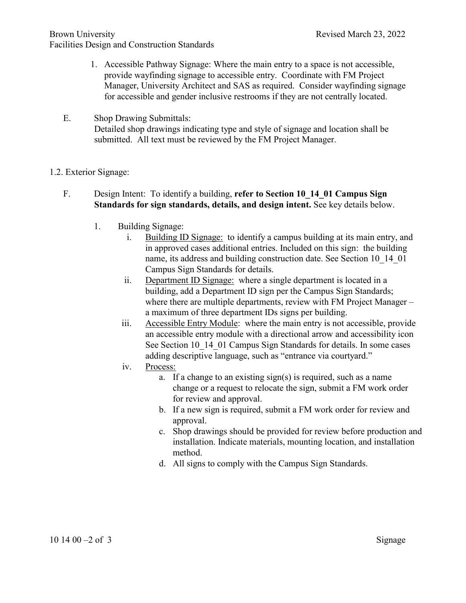- 1. Accessible Pathway Signage: Where the main entry to a space is not accessible, provide wayfinding signage to accessible entry. Coordinate with FM Project Manager, University Architect and SAS as required. Consider wayfinding signage for accessible and gender inclusive restrooms if they are not centrally located.
- E. Shop Drawing Submittals: Detailed shop drawings indicating type and style of signage and location shall be submitted. All text must be reviewed by the FM Project Manager.
- 1.2. Exterior Signage:
	- F. Design Intent: To identify a building, **refer to Section [10\\_14\\_01](https://www.brown.edu/facilities/sites/facilities/files/20220131_Campus-Sign-Standards.pdf) Campus Sign Standards for sign standards, details, and design intent.** See key details below.
		- 1. Building Signage:
			- i. Building ID Signage: to identify a campus building at its main entry, and in approved cases additional entries. Included on this sign: the building name, its address and building construction date. See Section 10 14 01 Campus Sign Standards for details.
			- ii. Department ID Signage: where a single department is located in a building, add a Department ID sign per the Campus Sign Standards; where there are multiple departments, review with FM Project Manager – a maximum of three department IDs signs per building.
			- iii. Accessible Entry Module: where the main entry is not accessible, provide an accessible entry module with a directional arrow and accessibility icon See Section [10\\_14\\_01](https://www.brown.edu/facilities/sites/facilities/files/20220131_Campus-Sign-Standards.pdf) Campus Sign Standards for details. In some cases adding descriptive language, such as "entrance via courtyard."
			- iv. Process:
				- a. If a change to an existing sign(s) is required, such as a name change or a request to relocate the sign, submit a FM work order for review and approval.
				- b. If a new sign is required, submit a FM work order for review and approval.
				- c. Shop drawings should be provided for review before production and installation. Indicate materials, mounting location, and installation method.
				- d. All signs to comply with the Campus Sign Standards.